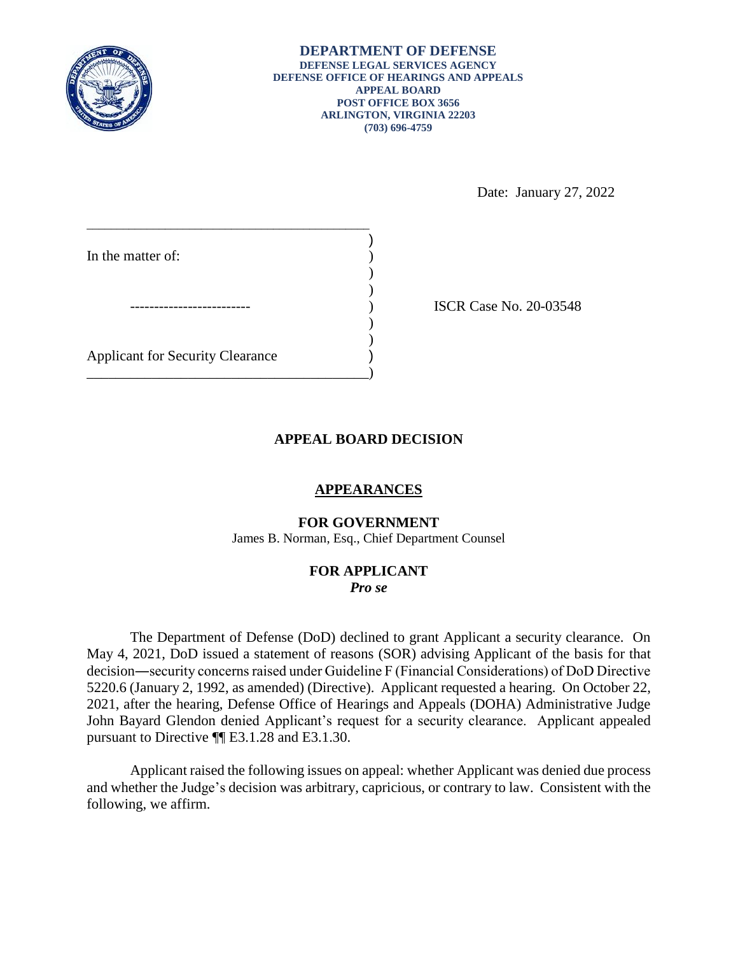

Date: January 27, 2022

| In the matter of:                       |  |
|-----------------------------------------|--|
|                                         |  |
|                                         |  |
|                                         |  |
| <b>Applicant for Security Clearance</b> |  |

) ISCR Case No. 20-03548

# **APPEAL BOARD DECISION**

# **APPEARANCES**

## **FOR GOVERNMENT**

James B. Norman, Esq., Chief Department Counsel

### **FOR APPLICANT**  *Pro se*

 The Department of Defense (DoD) declined to grant Applicant a security clearance. On decision―security concerns raised under Guideline F (Financial Considerations) of DoD Directive 5220.6 (January 2, 1992, as amended) (Directive). Applicant requested a hearing. On October 22, 2021, after the hearing, Defense Office of Hearings and Appeals (DOHA) Administrative Judge John Bayard Glendon denied Applicant's request for a security clearance. Applicant appealed pursuant to Directive ¶¶ E3.1.28 and E3.1.30. May 4, 2021, DoD issued a statement of reasons (SOR) advising Applicant of the basis for that

 Applicant raised the following issues on appeal: whether Applicant was denied due process and whether the Judge's decision was arbitrary, capricious, or contrary to law. Consistent with the following, we affirm.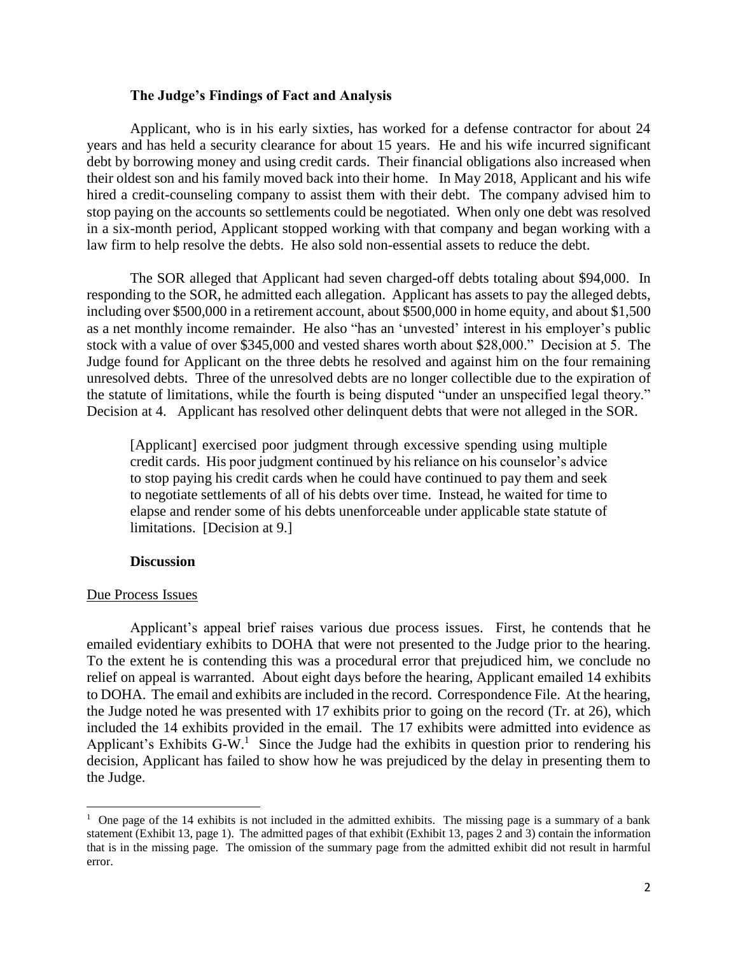## **The Judge's Findings of Fact and Analysis**

 Applicant, who is in his early sixties, has worked for a defense contractor for about 24 years and has held a security clearance for about 15 years. He and his wife incurred significant debt by borrowing money and using credit cards. Their financial obligations also increased when their oldest son and his family moved back into their home. In May 2018, Applicant and his wife hired a credit-counseling company to assist them with their debt. The company advised him to stop paying on the accounts so settlements could be negotiated. When only one debt was resolved in a six-month period, Applicant stopped working with that company and began working with a law firm to help resolve the debts. He also sold non-essential assets to reduce the debt.

 responding to the SOR, he admitted each allegation. Applicant has assets to pay the alleged debts, including over \$500,000 in a retirement account, about \$500,000 in home equity, and about \$1,500 Judge found for Applicant on the three debts he resolved and against him on the four remaining the statute of limitations, while the fourth is being disputed "under an unspecified legal theory." The SOR alleged that Applicant had seven charged-off debts totaling about \$94,000. In as a net monthly income remainder. He also "has an 'unvested' interest in his employer's public stock with a value of over \$345,000 and vested shares worth about \$28,000." Decision at 5. The unresolved debts. Three of the unresolved debts are no longer collectible due to the expiration of Decision at 4. Applicant has resolved other delinquent debts that were not alleged in the SOR.

 [Applicant] exercised poor judgment through excessive spending using multiple credit cards. His poor judgment continued by his reliance on his counselor's advice to stop paying his credit cards when he could have continued to pay them and seek to negotiate settlements of all of his debts over time. Instead, he waited for time to elapse and render some of his debts unenforceable under applicable state statute of limitations. [Decision at 9.]

### **Discussion**

#### Due Process Issues

 $\overline{a}$ 

 Applicant's appeal brief raises various due process issues. First, he contends that he emailed evidentiary exhibits to DOHA that were not presented to the Judge prior to the hearing. To the extent he is contending this was a procedural error that prejudiced him, we conclude no to DOHA. The email and exhibits are included in the record. Correspondence File. At the hearing, the Judge noted he was presented with 17 exhibits prior to going on the record (Tr. at 26), which Applicant's Exhibits G-W.<sup>1</sup> Since the Judge had the exhibits in question prior to rendering his decision, Applicant has failed to show how he was prejudiced by the delay in presenting them to relief on appeal is warranted. About eight days before the hearing, Applicant emailed 14 exhibits included the 14 exhibits provided in the email. The 17 exhibits were admitted into evidence as the Judge.

<sup>&</sup>lt;sup>1</sup> One page of the 14 exhibits is not included in the admitted exhibits. The missing page is a summary of a bank statement (Exhibit 13, page 1). The admitted pages of that exhibit (Exhibit 13, pages 2 and 3) contain the information that is in the missing page. The omission of the summary page from the admitted exhibit did not result in harmful error.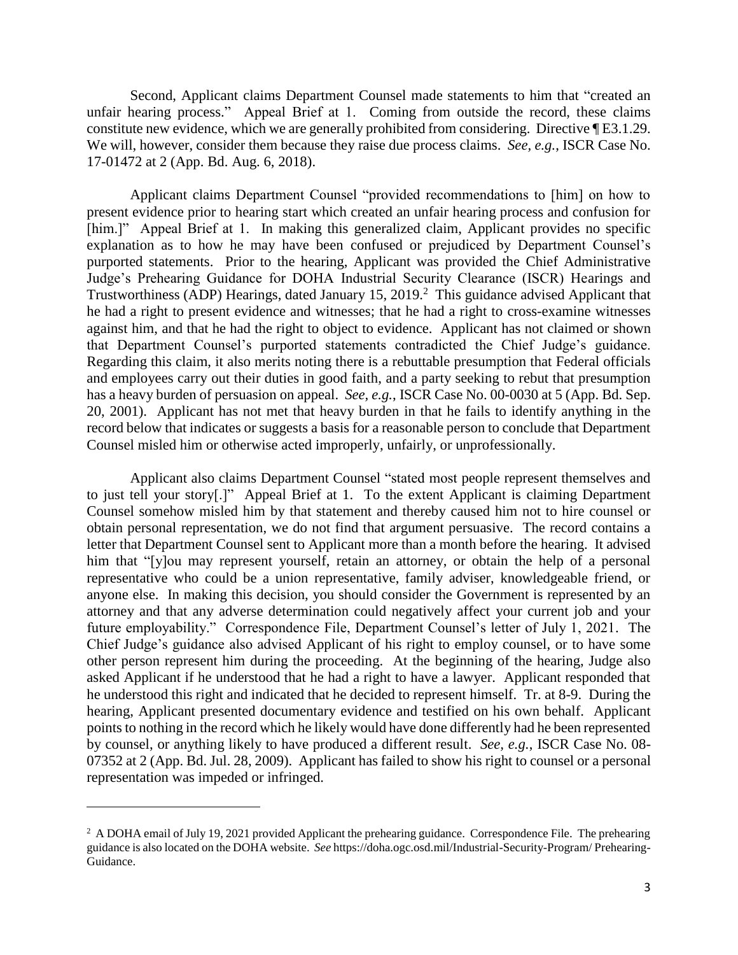Second, Applicant claims Department Counsel made statements to him that "created an unfair hearing process." Appeal Brief at 1. Coming from outside the record, these claims constitute new evidence, which we are generally prohibited from considering. Directive ¶ E3.1.29. We will, however, consider them because they raise due process claims. *See, e.g.*, ISCR Case No. 17-01472 at 2 (App. Bd. Aug. 6, 2018). 17-01472 at 2 (App. Bd. Aug. 6, 2018). Applicant claims Department Counsel "provided recommendations to [him] on how to

 present evidence prior to hearing start which created an unfair hearing process and confusion for [him.]" Appeal Brief at 1. In making this generalized claim, Applicant provides no specific explanation as to how he may have been confused or prejudiced by Department Counsel's Judge's Prehearing Guidance for DOHA Industrial Security Clearance (ISCR) Hearings and Trustworthiness (ADP) Hearings, dated January 15, 2019.<sup>2</sup> This guidance advised Applicant that he had a right to present evidence and witnesses; that he had a right to cross-examine witnesses against him, and that he had the right to object to evidence. Applicant has not claimed or shown Regarding this claim, it also merits noting there is a rebuttable presumption that Federal officials has a heavy burden of persuasion on appeal. *See, e.g.*, ISCR Case No. 00-0030 at 5 (App. Bd. Sep. 20, 2001). Applicant has not met that heavy burden in that he fails to identify anything in the record below that indicates or suggests a basis for a reasonable person to conclude that Department purported statements. Prior to the hearing, Applicant was provided the Chief Administrative that Department Counsel's purported statements contradicted the Chief Judge's guidance. and employees carry out their duties in good faith, and a party seeking to rebut that presumption Counsel misled him or otherwise acted improperly, unfairly, or unprofessionally.

 Applicant also claims Department Counsel "stated most people represent themselves and to just tell your story[.]" Appeal Brief at 1. To the extent Applicant is claiming Department Counsel somehow misled him by that statement and thereby caused him not to hire counsel or letter that Department Counsel sent to Applicant more than a month before the hearing. It advised him that "[y]ou may represent yourself, retain an attorney, or obtain the help of a personal representative who could be a union representative, family adviser, knowledgeable friend, or anyone else. In making this decision, you should consider the Government is represented by an attorney and that any adverse determination could negatively affect your current job and your future employability." Correspondence File, Department Counsel's letter of July 1, 2021. The other person represent him during the proceeding. At the beginning of the hearing, Judge also asked Applicant if he understood that he had a right to have a lawyer. Applicant responded that hearing, Applicant presented documentary evidence and testified on his own behalf. Applicant points to nothing in the record which he likely would have done differently had he been represented by counsel, or anything likely to have produced a different result. *See, e.g.*, ISCR Case No. 08- 07352 at 2 (App. Bd. Jul. 28, 2009). Applicant has failed to show his right to counsel or a personal obtain personal representation, we do not find that argument persuasive. The record contains a Chief Judge's guidance also advised Applicant of his right to employ counsel, or to have some he understood this right and indicated that he decided to represent himself. Tr. at 8-9. During the representation was impeded or infringed.

 $\overline{a}$ 

 $2$  A DOHA email of July 19, 2021 provided Applicant the prehearing guidance. Correspondence File. The prehearing guidance is also located on the DOHA website. *See* https://doha.ogc.osd.mil/Industrial-Security-Program/ Prehearing-Guidance.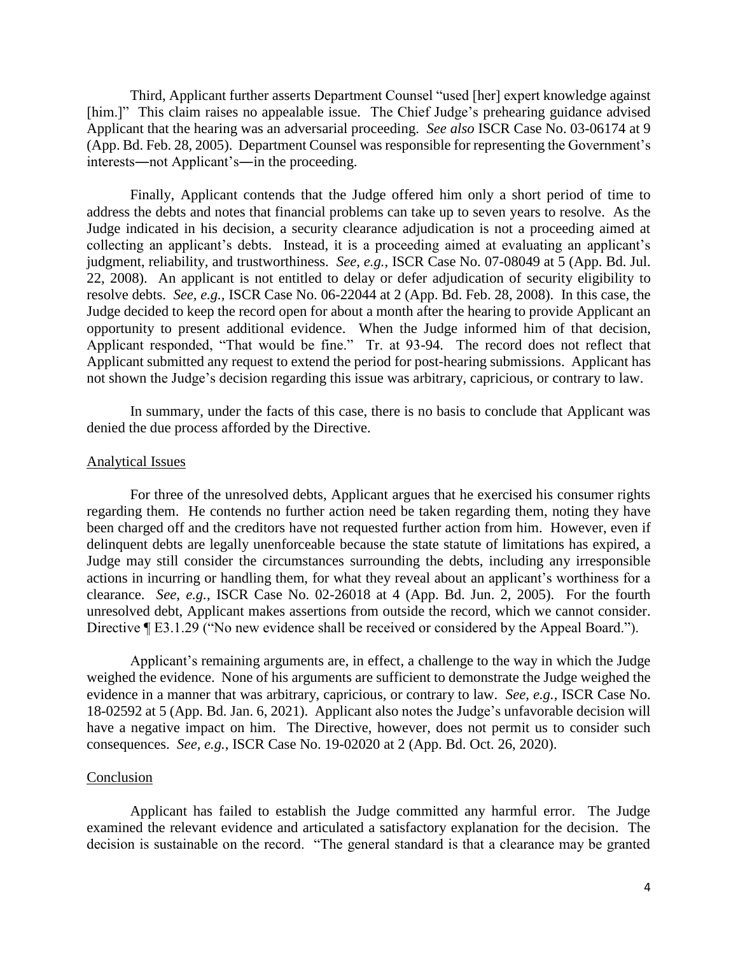Third, Applicant further asserts Department Counsel "used [her] expert knowledge against [him.]" This claim raises no appealable issue. The Chief Judge's prehearing guidance advised (App. Bd. Feb. 28, 2005). Department Counsel was responsible for representing the Government's Applicant that the hearing was an adversarial proceeding. *See also* ISCR Case No. 03-06174 at 9 interests―not Applicant's―in the proceeding.

 Finally, Applicant contends that the Judge offered him only a short period of time to address the debts and notes that financial problems can take up to seven years to resolve. As the Judge indicated in his decision, a security clearance adjudication is not a proceeding aimed at collecting an applicant's debts. Instead, it is a proceeding aimed at evaluating an applicant's judgment, reliability, and trustworthiness. *See, e.g.,* ISCR Case No. 07-08049 at 5 (App. Bd. Jul. 22, 2008). An applicant is not entitled to delay or defer adjudication of security eligibility to  resolve debts. *See, e.g.,* ISCR Case No. 06-22044 at 2 (App. Bd. Feb. 28, 2008). In this case, the Judge decided to keep the record open for about a month after the hearing to provide Applicant an opportunity to present additional evidence. When the Judge informed him of that decision, Applicant responded, "That would be fine." Tr. at 93-94. The record does not reflect that Applicant submitted any request to extend the period for post-hearing submissions. Applicant has not shown the Judge's decision regarding this issue was arbitrary, capricious, or contrary to law.

 In summary, under the facts of this case, there is no basis to conclude that Applicant was denied the due process afforded by the Directive.

#### Analytical Issues

 For three of the unresolved debts, Applicant argues that he exercised his consumer rights regarding them. He contends no further action need be taken regarding them, noting they have delinquent debts are legally unenforceable because the state statute of limitations has expired, a Judge may still consider the circumstances surrounding the debts, including any irresponsible actions in incurring or handling them, for what they reveal about an applicant's worthiness for a clearance. *See, e.g.*, ISCR Case No. 02-26018 at 4 (App. Bd. Jun. 2, 2005). For the fourth Directive ¶ E3.1.29 ("No new evidence shall be received or considered by the Appeal Board."). been charged off and the creditors have not requested further action from him. However, even if unresolved debt, Applicant makes assertions from outside the record, which we cannot consider.

 Applicant's remaining arguments are, in effect, a challenge to the way in which the Judge weighed the evidence. None of his arguments are sufficient to demonstrate the Judge weighed the evidence in a manner that was arbitrary, capricious, or contrary to law. *See, e.g.,* ISCR Case No. have a negative impact on him. The Directive, however, does not permit us to consider such 18-02592 at 5 (App. Bd. Jan. 6, 2021). Applicant also notes the Judge's unfavorable decision will consequences. *See, e.g.*, ISCR Case No. 19-02020 at 2 (App. Bd. Oct. 26, 2020).

#### Conclusion

 Applicant has failed to establish the Judge committed any harmful error. The Judge examined the relevant evidence and articulated a satisfactory explanation for the decision. The decision is sustainable on the record. "The general standard is that a clearance may be granted